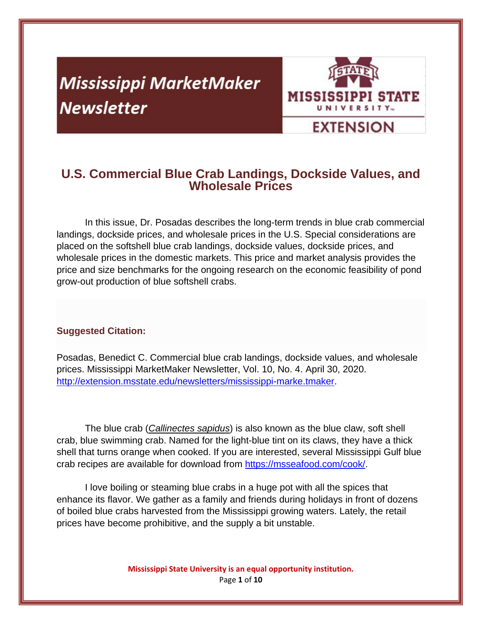# **Mississippi MarketMaker Newsletter**



# **U.S. Commercial Blue Crab Landings, Dockside Values, and Wholesale Prices**

In this issue, Dr. Posadas describes the long-term trends in blue crab commercial landings, dockside prices, and wholesale prices in the U.S. Special considerations are placed on the softshell blue crab landings, dockside values, dockside prices, and wholesale prices in the domestic markets. This price and market analysis provides the price and size benchmarks for the ongoing research on the economic feasibility of pond grow-out production of blue softshell crabs.

# **Suggested Citation:**

Posadas, Benedict C. Commercial blue crab landings, dockside values, and wholesale prices. Mississippi MarketMaker Newsletter, Vol. 10, No. 4. April 30, 2020. http://extension.msstate.edu/newsletters/mississippi-marke.tmaker.

The blue crab (*Callinectes sapidus*) is also known as the blue claw, soft shell crab, blue swimming crab. Named for the light-blue tint on its claws, they have a thick shell that turns orange when cooked. If you are interested, several Mississippi Gulf blue crab recipes are available for download from https://msseafood.com/cook/.

I love boiling or steaming blue crabs in a huge pot with all the spices that enhance its flavor. We gather as a family and friends during holidays in front of dozens of boiled blue crabs harvested from the Mississippi growing waters. Lately, the retail prices have become prohibitive, and the supply a bit unstable.

> **Mississippi State University is an equal opportunity institution.** Page **1** of **10**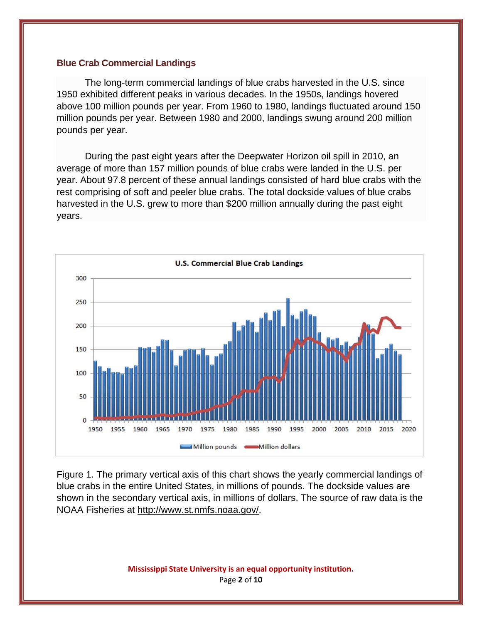#### **Blue Crab Commercial Landings**

The long-term commercial landings of blue crabs harvested in the U.S. since 1950 exhibited different peaks in various decades. In the 1950s, landings hovered above 100 million pounds per year. From 1960 to 1980, landings fluctuated around 150 million pounds per year. Between 1980 and 2000, landings swung around 200 million pounds per year.

During the past eight years after the Deepwater Horizon oil spill in 2010, an average of more than 157 million pounds of blue crabs were landed in the U.S. per year. About 97.8 percent of these annual landings consisted of hard blue crabs with the rest comprising of soft and peeler blue crabs. The total dockside values of blue crabs harvested in the U.S. grew to more than \$200 million annually during the past eight years.



Figure 1. The primary vertical axis of this chart shows the yearly commercial landings of blue crabs in the entire United States, in millions of pounds. The dockside values are shown in the secondary vertical axis, in millions of dollars. The source of raw data is the NOAA Fisheries at http://www.st.nmfs.noaa.gov/.

> **Mississippi State University is an equal opportunity institution.** Page **2** of **10**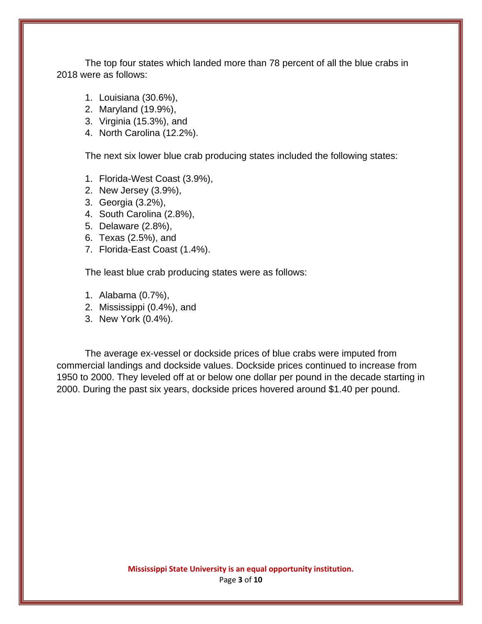The top four states which landed more than 78 percent of all the blue crabs in 2018 were as follows:

- 1. Louisiana (30.6%),
- 2. Maryland (19.9%),
- 3. Virginia (15.3%), and
- 4. North Carolina (12.2%).

The next six lower blue crab producing states included the following states:

- 1. Florida-West Coast (3.9%),
- 2. New Jersey (3.9%),
- 3. Georgia (3.2%),
- 4. South Carolina (2.8%),
- 5. Delaware (2.8%),
- 6. Texas (2.5%), and
- 7. Florida-East Coast (1.4%).

The least blue crab producing states were as follows:

- 1. Alabama (0.7%),
- 2. Mississippi (0.4%), and
- 3. New York (0.4%).

The average ex-vessel or dockside prices of blue crabs were imputed from commercial landings and dockside values. Dockside prices continued to increase from 1950 to 2000. They leveled off at or below one dollar per pound in the decade starting in 2000. During the past six years, dockside prices hovered around \$1.40 per pound.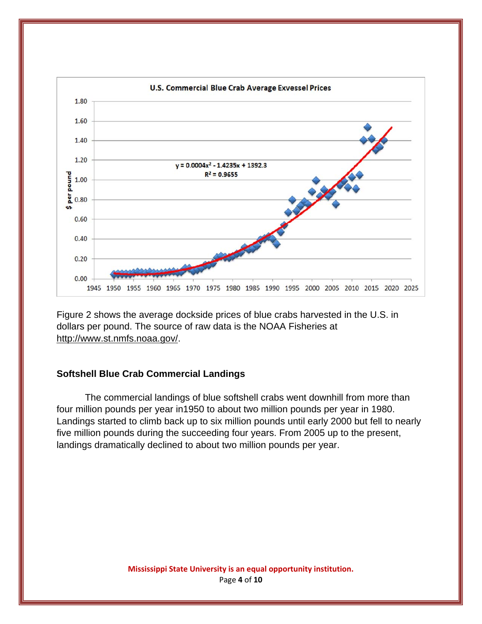

Figure 2 shows the average dockside prices of blue crabs harvested in the U.S. in dollars per pound. The source of raw data is the NOAA Fisheries at http://www.st.nmfs.noaa.gov/.

## **Softshell Blue Crab Commercial Landings**

The commercial landings of blue softshell crabs went downhill from more than four million pounds per year in1950 to about two million pounds per year in 1980. Landings started to climb back up to six million pounds until early 2000 but fell to nearly five million pounds during the succeeding four years. From 2005 up to the present, landings dramatically declined to about two million pounds per year.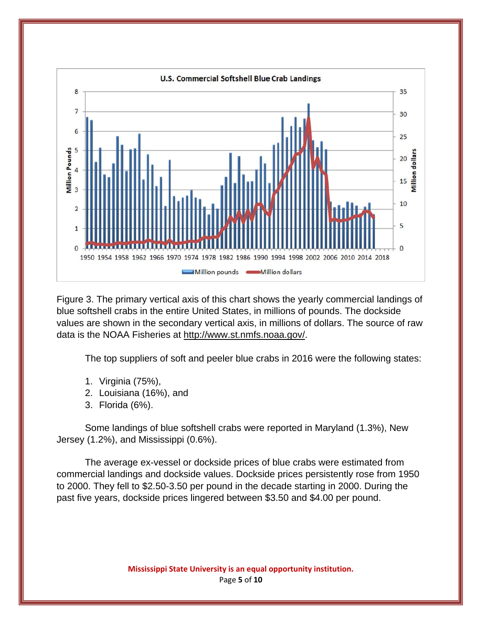

Figure 3. The primary vertical axis of this chart shows the yearly commercial landings of blue softshell crabs in the entire United States, in millions of pounds. The dockside values are shown in the secondary vertical axis, in millions of dollars. The source of raw data is the NOAA Fisheries at http://www.st.nmfs.noaa.gov/.

The top suppliers of soft and peeler blue crabs in 2016 were the following states:

- 1. Virginia (75%),
- 2. Louisiana (16%), and
- 3. Florida (6%).

Some landings of blue softshell crabs were reported in Maryland (1.3%), New Jersey (1.2%), and Mississippi (0.6%).

The average ex-vessel or dockside prices of blue crabs were estimated from commercial landings and dockside values. Dockside prices persistently rose from 1950 to 2000. They fell to \$2.50-3.50 per pound in the decade starting in 2000. During the past five years, dockside prices lingered between \$3.50 and \$4.00 per pound.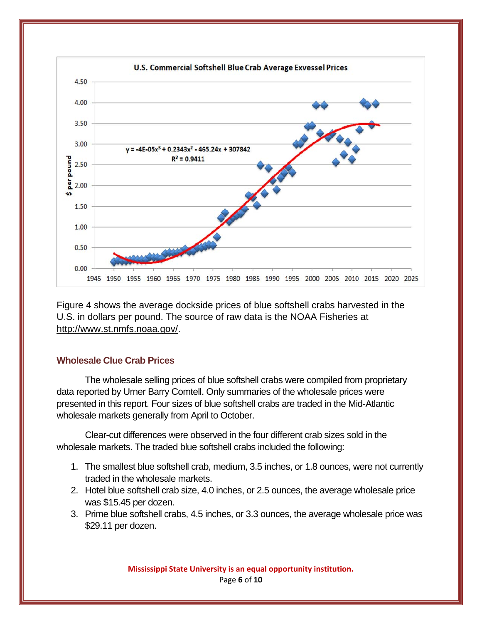

Figure 4 shows the average dockside prices of blue softshell crabs harvested in the U.S. in dollars per pound. The source of raw data is the NOAA Fisheries at http://www.st.nmfs.noaa.gov/.

## **Wholesale Clue Crab Prices**

 The wholesale selling prices of blue softshell crabs were compiled from proprietary data reported by Urner Barry Comtell. Only summaries of the wholesale prices were presented in this report. Four sizes of blue softshell crabs are traded in the Mid-Atlantic wholesale markets generally from April to October.

Clear-cut differences were observed in the four different crab sizes sold in the wholesale markets. The traded blue softshell crabs included the following:

- 1. The smallest blue softshell crab, medium, 3.5 inches, or 1.8 ounces, were not currently traded in the wholesale markets.
- 2. Hotel blue softshell crab size, 4.0 inches, or 2.5 ounces, the average wholesale price was \$15.45 per dozen.
- 3. Prime blue softshell crabs, 4.5 inches, or 3.3 ounces, the average wholesale price was \$29.11 per dozen.

**Mississippi State University is an equal opportunity institution.** Page **6** of **10**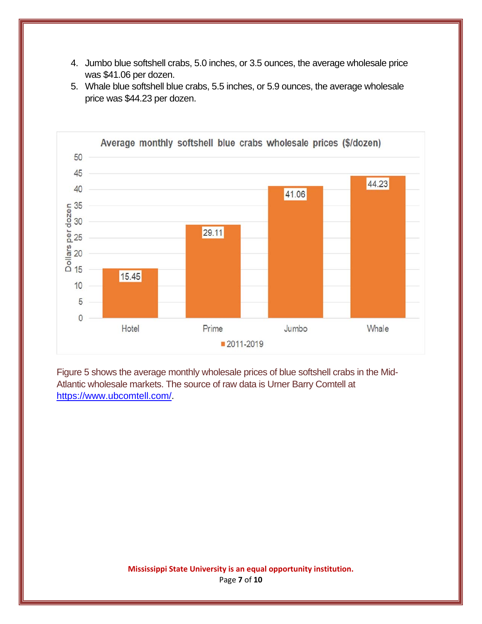- 4. Jumbo blue softshell crabs, 5.0 inches, or 3.5 ounces, the average wholesale price was \$41.06 per dozen.
- 5. Whale blue softshell blue crabs, 5.5 inches, or 5.9 ounces, the average wholesale price was \$44.23 per dozen.



Figure 5 shows the average monthly wholesale prices of blue softshell crabs in the Mid-Atlantic wholesale markets. The source of raw data is Urner Barry Comtell at https://www.ubcomtell.com/.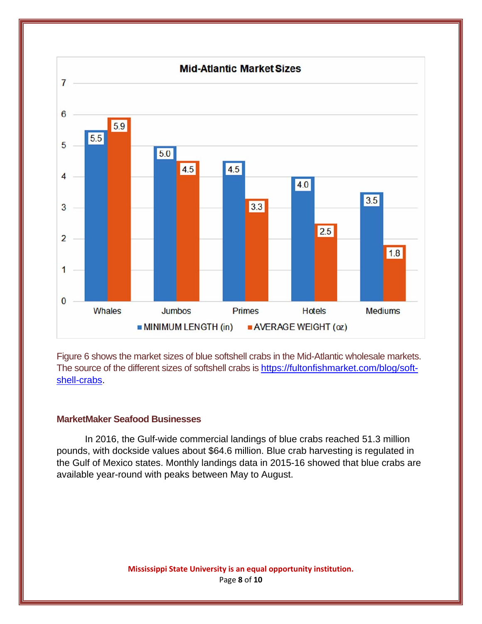

Figure 6 shows the market sizes of blue softshell crabs in the Mid-Atlantic wholesale markets. The source of the different sizes of softshell crabs is https://fultonfishmarket.com/blog/softshell-crabs.

#### **MarketMaker Seafood Businesses**

In 2016, the Gulf-wide commercial landings of blue crabs reached 51.3 million pounds, with dockside values about \$64.6 million. Blue crab harvesting is regulated in the Gulf of Mexico states. Monthly landings data in 2015-16 showed that blue crabs are available year-round with peaks between May to August.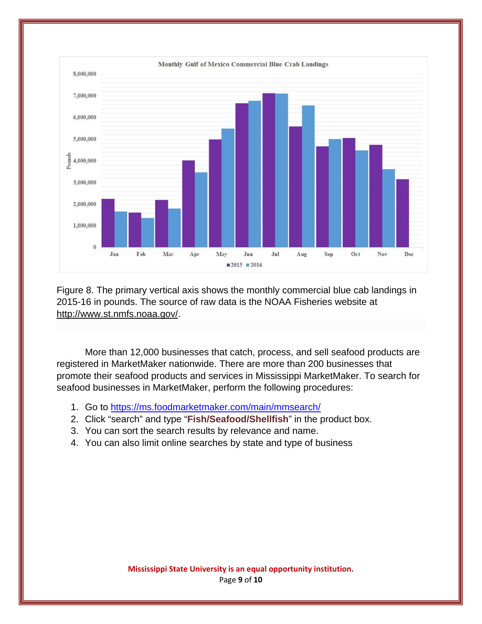

Figure 8. The primary vertical axis shows the monthly commercial blue cab landings in 2015-16 in pounds. The source of raw data is the NOAA Fisheries website at http://www.st.nmfs.noaa.gov/.

More than 12,000 businesses that catch, process, and sell seafood products are registered in MarketMaker nationwide. There are more than 200 businesses that promote their seafood products and services in Mississippi MarketMaker. To search for seafood businesses in MarketMaker, perform the following procedures:

- 1. Go to https://ms.foodmarketmaker.com/main/mmsearch/
- 2. Click "search" and type "**Fish/Seafood/Shellfish**" in the product box.
- 3. You can sort the search results by relevance and name.
- 4. You can also limit online searches by state and type of business